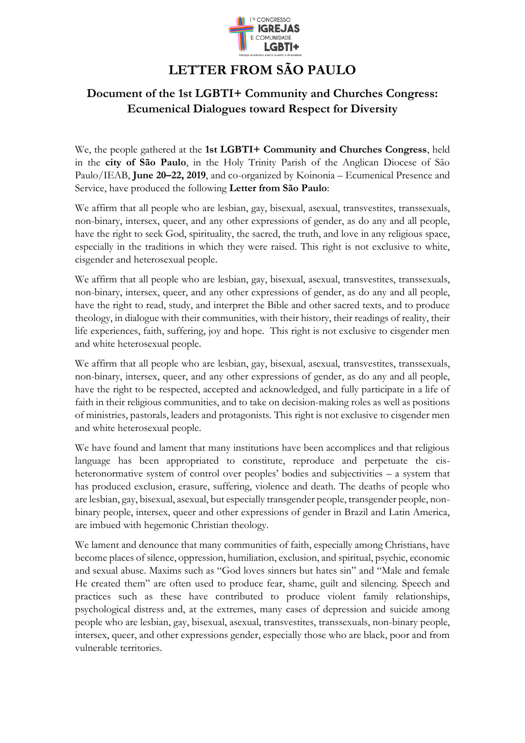

## **LETTER FROM SÃO PAULO**

## **Document of the 1st LGBTI+ Community and Churches Congress: Ecumenical Dialogues toward Respect for Diversity**

We, the people gathered at the **1st LGBTI+ Community and Churches Congress**, held in the **city of São Paulo**, in the Holy Trinity Parish of the Anglican Diocese of São Paulo/IEAB, **June 20–22, 2019**, and co-organized by Koinonia – Ecumenical Presence and Service, have produced the following **Letter from São Paulo**:

We affirm that all people who are lesbian, gay, bisexual, asexual, transvestites, transsexuals, non-binary, intersex, queer, and any other expressions of gender, as do any and all people, have the right to seek God, spirituality, the sacred, the truth, and love in any religious space, especially in the traditions in which they were raised. This right is not exclusive to white, cisgender and heterosexual people.

We affirm that all people who are lesbian, gay, bisexual, asexual, transvestites, transsexuals, non-binary, intersex, queer, and any other expressions of gender, as do any and all people, have the right to read, study, and interpret the Bible and other sacred texts, and to produce theology, in dialogue with their communities, with their history, their readings of reality, their life experiences, faith, suffering, joy and hope. This right is not exclusive to cisgender men and white heterosexual people.

We affirm that all people who are lesbian, gay, bisexual, asexual, transvestites, transsexuals, non-binary, intersex, queer, and any other expressions of gender, as do any and all people, have the right to be respected, accepted and acknowledged, and fully participate in a life of faith in their religious communities, and to take on decision-making roles as well as positions of ministries, pastorals, leaders and protagonists. This right is not exclusive to cisgender men and white heterosexual people.

We have found and lament that many institutions have been accomplices and that religious language has been appropriated to constitute, reproduce and perpetuate the cisheteronormative system of control over peoples' bodies and subjectivities – a system that has produced exclusion, erasure, suffering, violence and death. The deaths of people who are lesbian, gay, bisexual, asexual, but especially transgender people, transgender people, nonbinary people, intersex, queer and other expressions of gender in Brazil and Latin America, are imbued with hegemonic Christian theology.

We lament and denounce that many communities of faith, especially among Christians, have become places of silence, oppression, humiliation, exclusion, and spiritual, psychic, economic and sexual abuse. Maxims such as "God loves sinners but hates sin" and "Male and female He created them" are often used to produce fear, shame, guilt and silencing. Speech and practices such as these have contributed to produce violent family relationships, psychological distress and, at the extremes, many cases of depression and suicide among people who are lesbian, gay, bisexual, asexual, transvestites, transsexuals, non-binary people, intersex, queer, and other expressions gender, especially those who are black, poor and from vulnerable territories.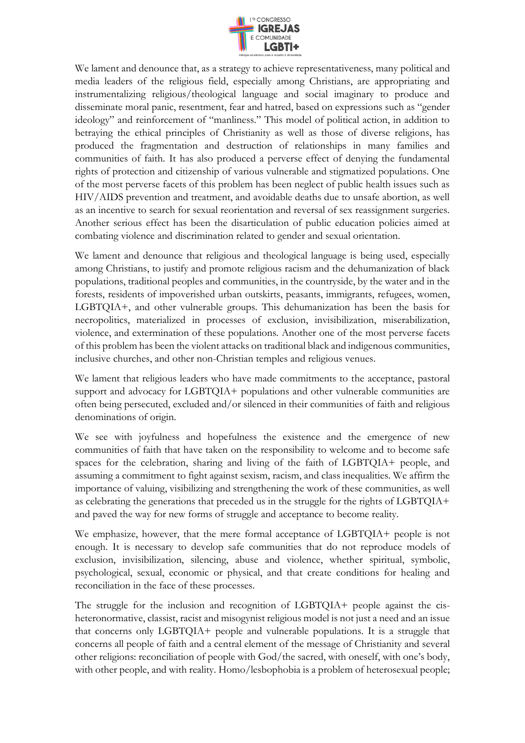

We lament and denounce that, as a strategy to achieve representativeness, many political and media leaders of the religious field, especially among Christians, are appropriating and instrumentalizing religious/theological language and social imaginary to produce and disseminate moral panic, resentment, fear and hatred, based on expressions such as "gender ideology" and reinforcement of "manliness." This model of political action, in addition to betraying the ethical principles of Christianity as well as those of diverse religions, has produced the fragmentation and destruction of relationships in many families and communities of faith. It has also produced a perverse effect of denying the fundamental rights of protection and citizenship of various vulnerable and stigmatized populations. One of the most perverse facets of this problem has been neglect of public health issues such as HIV/AIDS prevention and treatment, and avoidable deaths due to unsafe abortion, as well as an incentive to search for sexual reorientation and reversal of sex reassignment surgeries. Another serious effect has been the disarticulation of public education policies aimed at combating violence and discrimination related to gender and sexual orientation.

We lament and denounce that religious and theological language is being used, especially among Christians, to justify and promote religious racism and the dehumanization of black populations, traditional peoples and communities, in the countryside, by the water and in the forests, residents of impoverished urban outskirts, peasants, immigrants, refugees, women, LGBTQIA+, and other vulnerable groups. This dehumanization has been the basis for necropolitics, materialized in processes of exclusion, invisibilization, miserabilization, violence, and extermination of these populations. Another one of the most perverse facets of this problem has been the violent attacks on traditional black and indigenous communities, inclusive churches, and other non-Christian temples and religious venues.

We lament that religious leaders who have made commitments to the acceptance, pastoral support and advocacy for LGBTQIA+ populations and other vulnerable communities are often being persecuted, excluded and/or silenced in their communities of faith and religious denominations of origin.

We see with joyfulness and hopefulness the existence and the emergence of new communities of faith that have taken on the responsibility to welcome and to become safe spaces for the celebration, sharing and living of the faith of LGBTQIA+ people, and assuming a commitment to fight against sexism, racism, and class inequalities. We affirm the importance of valuing, visibilizing and strengthening the work of these communities, as well as celebrating the generations that preceded us in the struggle for the rights of LGBTQIA+ and paved the way for new forms of struggle and acceptance to become reality.

We emphasize, however, that the mere formal acceptance of LGBTQIA+ people is not enough. It is necessary to develop safe communities that do not reproduce models of exclusion, invisibilization, silencing, abuse and violence, whether spiritual, symbolic, psychological, sexual, economic or physical, and that create conditions for healing and reconciliation in the face of these processes.

The struggle for the inclusion and recognition of LGBTQIA+ people against the cisheteronormative, classist, racist and misogynist religious model is not just a need and an issue that concerns only LGBTQIA+ people and vulnerable populations. It is a struggle that concerns all people of faith and a central element of the message of Christianity and several other religions: reconciliation of people with God/the sacred, with oneself, with one's body, with other people, and with reality. Homo/lesbophobia is a problem of heterosexual people;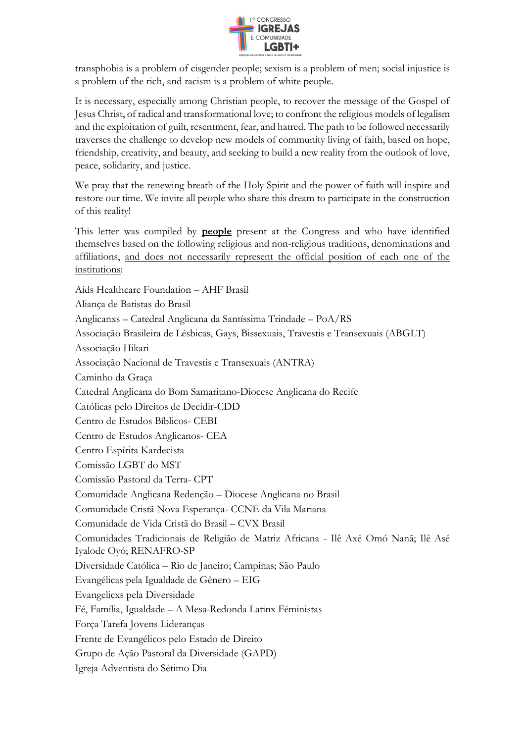

transphobia is a problem of cisgender people; sexism is a problem of men; social injustice is a problem of the rich, and racism is a problem of white people.

It is necessary, especially among Christian people, to recover the message of the Gospel of Jesus Christ, of radical and transformational love; to confront the religious models of legalism and the exploitation of guilt, resentment, fear, and hatred. The path to be followed necessarily traverses the challenge to develop new models of community living of faith, based on hope, friendship, creativity, and beauty, and seeking to build a new reality from the outlook of love, peace, solidarity, and justice.

We pray that the renewing breath of the Holy Spirit and the power of faith will inspire and restore our time. We invite all people who share this dream to participate in the construction of this reality!

This letter was compiled by **people** present at the Congress and who have identified themselves based on the following religious and non-religious traditions, denominations and affiliations, and does not necessarily represent the official position of each one of the institutions:

Aids Healthcare Foundation – AHF Brasil Aliança de Batistas do Brasil Anglicanxs – Catedral Anglicana da Santíssima Trindade – PoA/RS Associação Brasileira de Lésbicas, Gays, Bissexuais, Travestis e Transexuais (ABGLT) Associação Hikari Associação Nacional de Travestis e Transexuais (ANTRA) Caminho da Graça Catedral Anglicana do Bom Samaritano-Diocese Anglicana do Recife Católicas pelo Direitos de Decidir-CDD Centro de Estudos Bíblicos- CEBI Centro de Estudos Anglicanos- CEA Centro Espírita Kardecista Comissão LGBT do MST Comissão Pastoral da Terra- CPT Comunidade Anglicana Redenção – Diocese Anglicana no Brasil Comunidade Cristã Nova Esperança- CCNE da Vila Mariana Comunidade de Vida Cristã do Brasil – CVX Brasil Comunidades Tradicionais de Religião de Matriz Africana - Ilê Axé Omó Nanã; Ilê Asé Iyalode Oyó; RENAFRO-SP Diversidade Católica – Rio de Janeiro; Campinas; São Paulo Evangélicas pela Igualdade de Gênero – EIG Evangelicxs pela Diversidade Fé, Família, Igualdade – A Mesa-Redonda Latinx Féministas Força Tarefa Jovens Lideranças Frente de Evangélicos pelo Estado de Direito Grupo de Ação Pastoral da Diversidade (GAPD) Igreja Adventista do Sétimo Dia